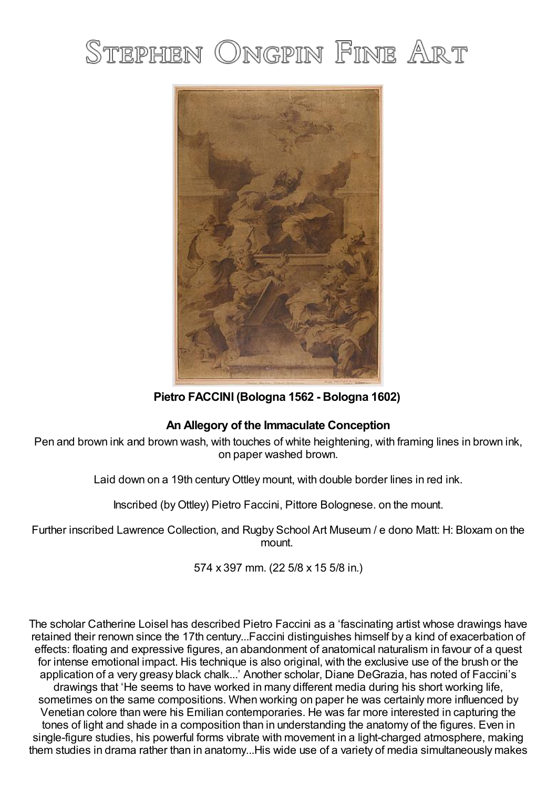# STEPHEN ONGPIN FINE ART



**Pietro FACCINI (Bologna 1562 - Bologna 1602)**

## **An Allegory of the Immaculate Conception**

Pen and brown ink and brown wash, with touches of white heightening, with framing lines in brown ink, on paper washed brown.

Laid down on a 19th centuryOttley mount, with double border lines in red ink.

Inscribed (byOttley) Pietro Faccini, Pittore Bolognese. on the mount.

Further inscribed Lawrence Collection, and Rugby School Art Museum / e dono Matt: H: Bloxam on the mount.

574 x 397 mm. (22 5/8 x 15 5/8 in.)

The scholar Catherine Loisel has described Pietro Faccini as a 'fascinating artist whose drawings have retained their renown since the 17th century...Faccini distinguishes himself by a kind of exacerbation of effects: floating and expressive figures, an abandonment of anatomical naturalism in favour of a quest for intense emotional impact. His technique is also original, with the exclusive use of the brush or the application of a very greasy black chalk...' Another scholar, Diane DeGrazia, has noted of Faccini's drawings that 'He seems to have worked in many different media during his short working life, sometimes on the same compositions. When working on paper he was certainly more influenced by Venetian colore than were his Emilian contemporaries. He was far more interested in capturing the tones of light and shade in a composition than in understanding the anatomy of the figures. Even in single-figure studies, his powerful forms vibrate with movement in a light-charged atmosphere, making them studies in drama rather than in anatomy...His wide use of a variety of media simultaneously makes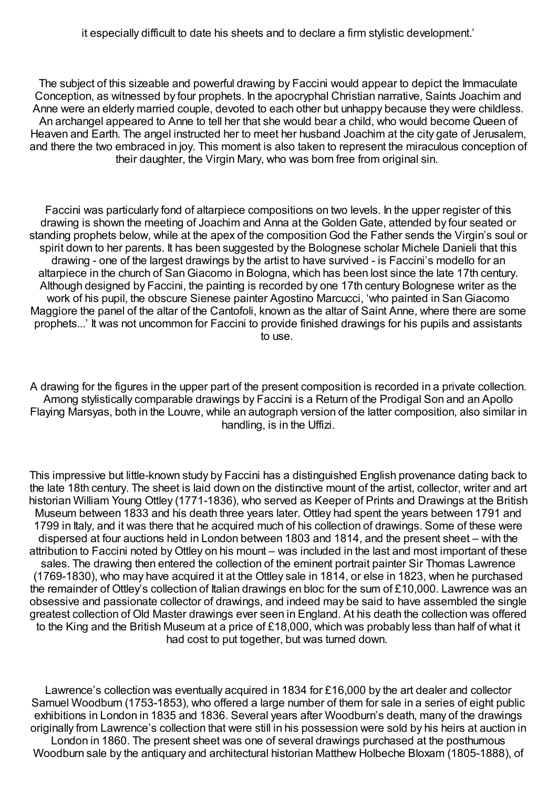The subject of this sizeable and powerful drawing by Faccini would appear to depict the Immaculate Conception, as witnessed by four prophets. In the apocryphal Christian narrative, Saints Joachim and Anne were an elderly married couple, devoted to each other but unhappy because they were childless. An archangel appeared to Anne to tell her that she would bear a child, who would become Queen of Heaven and Earth. The angel instructed her to meet her husband Joachim at the city gate of Jerusalem, and there the two embraced in joy. This moment is also taken to represent the miraculous conception of their daughter, the Virgin Mary, who was born free from original sin.

Faccini was particularly fond of altarpiece compositions on two levels. In the upper register of this drawing is shown the meeting of Joachim and Anna at the GoldenGate, attended by four seated or standing prophets below, while at the apex of the composition God the Father sends the Virgin's soul or spirit down to her parents. It has been suggested by the Bolognese scholar Michele Danieli that this drawing - one of the largest drawings by the artist to have survived - is Faccini's modello for an altarpiece in the church of SanGiacomo in Bologna, which has been lost since the late 17th century. Although designed by Faccini, the painting is recorded by one 17th century Bolognese writer as the work of his pupil, the obscure Sienese painter Agostino Marcucci, 'who painted in SanGiacomo Maggiore the panel of the altar of the Cantofoli, known as the altar of Saint Anne, where there are some prophets...' It was not uncommon for Faccini to provide finished drawings for his pupils and assistants to use.

A drawing for the figures in the upper part of the present composition is recorded in a private collection. Among stylistically comparable drawings by Faccini is a Return of the Prodigal Son and an Apollo Flaying Marsyas, both in the Louvre, while an autograph version of the latter composition, also similar in handling, is in the Uffizi.

This impressive but little-known study by Faccini has a distinguished English provenance dating back to the late 18th century. The sheet is laid down on the distinctive mount of the artist, collector, writer and art historian William Young Ottley (1771-1836), who served as Keeper of Prints and Drawings at the British Museum between 1833 and his death three years later. Ottley had spent the years between 1791 and 1799 in Italy, and it was there that he acquired much of his collection of drawings. Some of these were dispersed at four auctions held in London between 1803 and 1814, and the present sheet – with the attribution to Faccini noted by Ottley on his mount – was included in the last and most important of these sales. The drawing then entered the collection of the eminent portrait painter Sir Thomas Lawrence (1769-1830), who may have acquired it at the Ottley sale in 1814, or else in 1823, when he purchased the remainder of Ottley's collection of Italian drawings en bloc for the sum of £10,000. Lawrence was an obsessive and passionate collector of drawings, and indeed may be said to have assembled the single greatest collection of Old Master drawings ever seen in England. At his death the collection was offered to the King and the British Museum at a price of £18,000, which was probably less than half of what it had cost to put together, but was turned down.

Lawrence's collection was eventually acquired in 1834 for £16,000 by the art dealer and collector Samuel Woodburn (1753-1853), who offered a large number of them for sale in a series of eight public exhibitions in London in 1835 and 1836. Several years after Woodburn's death, many of the drawings originally from Lawrence's collection that were still in his possession were sold by his heirs at auction in

London in 1860. The present sheet was one of several drawings purchased at the posthumous Woodburn sale by the antiquary and architectural historian Matthew Holbeche Bloxam (1805-1888), of